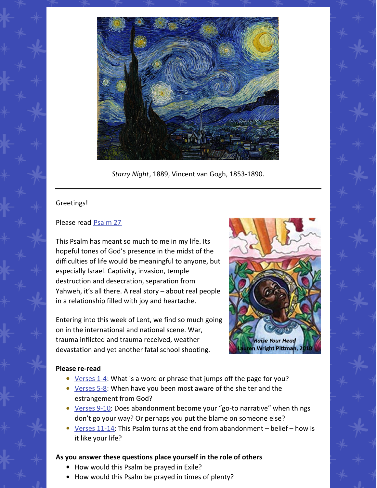

*Starry Night*, 1889, Vincent van Gogh, 1853-1890.

## Greetings!

# Please read [Psalm](https://www.biblegateway.com/passage/?search=Psalm+27&version=NRSV) 27

This Psalm has meant so much to me in my life. Its hopeful tones of God's presence in the midst of the difficulties of life would be meaningful to anyone, but especially Israel. Captivity, invasion, temple destruction and desecration, separation from Yahweh, it's all there. A real story – about real people in a relationship filled with joy and heartache.

Entering into this week of Lent, we find so much going on in the international and national scene. War, trauma inflicted and trauma received, weather devastation and yet another fatal school shooting.



#### **Please re-read**

- <u>[Verses](https://www.biblegateway.com/passage/?search=ps+27%3A1-4&version=NRSV) 1-4</u>: What is a word or phrase that jumps off the page for you?
- [Verses](https://www.biblegateway.com/passage/?search=ps+27%3A5-8&version=NRSV) 5-8: When have you been most aware of the shelter and the estrangement from God?
- [Verses](https://www.biblegateway.com/passage/?search=ps+27%3A9-10&version=NRSV) 9-10: Does abandonment become your "go-to narrative" when things don't go your way? Or perhaps you put the blame on someone else?
- $\bullet$  [Verses](https://www.biblegateway.com/passage/?search=ps+27%3A11-14&version=NRSV) 11-14: This Psalm turns at the end from abandonment belief how is it like your life?

## **As you answer these questions place yourself in the role of others**

- How would this Psalm be prayed in Exile?
- How would this Psalm be prayed in times of plenty?